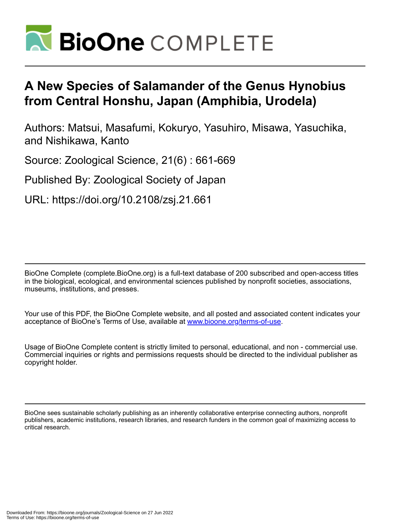

# **A New Species of Salamander of the Genus Hynobius from Central Honshu, Japan (Amphibia, Urodela)**

Authors: Matsui, Masafumi, Kokuryo, Yasuhiro, Misawa, Yasuchika, and Nishikawa, Kanto

Source: Zoological Science, 21(6) : 661-669

Published By: Zoological Society of Japan

URL: https://doi.org/10.2108/zsj.21.661

BioOne Complete (complete.BioOne.org) is a full-text database of 200 subscribed and open-access titles in the biological, ecological, and environmental sciences published by nonprofit societies, associations, museums, institutions, and presses.

Your use of this PDF, the BioOne Complete website, and all posted and associated content indicates your acceptance of BioOne's Terms of Use, available at www.bioone.org/terms-of-use.

Usage of BioOne Complete content is strictly limited to personal, educational, and non - commercial use. Commercial inquiries or rights and permissions requests should be directed to the individual publisher as copyright holder.

BioOne sees sustainable scholarly publishing as an inherently collaborative enterprise connecting authors, nonprofit publishers, academic institutions, research libraries, and research funders in the common goal of maximizing access to critical research.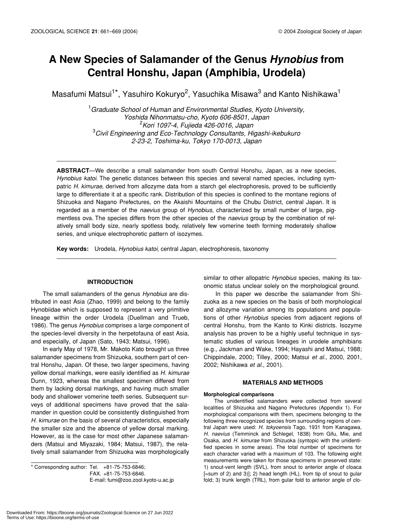## **A New Species of Salamander of the Genus** *Hynobius* **from Central Honshu, Japan (Amphibia, Urodela)**

Masafumi Matsui<sup>1\*</sup>, Yasuhiro Kokuryo<sup>2</sup>, Yasuchika Misawa<sup>3</sup> and Kanto Nishikawa<sup>1</sup>

1 *Graduate School of Human and Environmental Studies, Kyoto University, Yoshida Nihonmatsu-cho, Kyoto 606-8501, Japan* 2 *Kori 1097-4, Fujieda 426-0016, Japan* 3 *Civil Engineering and Eco-Technology Consultants, Higashi-ikebukuro 2-23-2, Toshima-ku, Tokyo 170-0013, Japan*

**ABSTRACT**—We describe a small salamander from south Central Honshu, Japan, as a new species, *Hynobius katoi*. The genetic distances between this species and several named species, including sympatric *H. kimurae*, derived from allozyme data from a starch gel electrophoresis, proved to be sufficiently large to differentiate it at a specific rank. Distribution of this species is confined to the montane regions of Shizuoka and Nagano Prefectures, on the Akaishi Mountains of the Chubu District, central Japan. It is regarded as a member of the *naevius* group of *Hynobius*, characterized by small number of large, pigmentless ova. The species differs from the other species of the *naevius* group by the combination of relatively small body size, nearly spotless body, relatively few vomerine teeth forming moderately shallow series, and unique electrophoretic pattern of isozymes.

**Key words:** Urodela, *Hynobius katoi*, central Japan, electrophoresis, taxonomy

#### **INTRODUCTION**

The small salamanders of the genus *Hynobius* are distributed in east Asia (Zhao, 1999) and belong to the family Hynobiidae which is supposed to represent a very primitive lineage within the order Urodela (Duellman and Trueb, 1986). The genus *Hynobius* comprises a large component of the species-level diversity in the herpetofauna of east Asia, and especially, of Japan (Sato, 1943; Matsui, 1996).

In early May of 1978, Mr. Makoto Kato brought us three salamander specimens from Shizuoka, southern part of central Honshu, Japan. Of these, two larger specimens, having yellow dorsal markings, were easily identified as *H. kimurae* Dunn, 1923, whereas the smallest specimen differed from them by lacking dorsal markings, and having much smaller body and shallower vomerine teeth series. Subsequent surveys of additional specimens have proved that the salamander in question could be consistently distinguished from *H. kimurae* on the basis of several characteristics, especially the smaller size and the absence of yellow dorsal marking. However, as is the case for most other Japanese salamanders (Matsui and Miyazaki, 1984; Matsui, 1987), the relatively small salamander from Shizuoka was morphologically

\* Corresponding author: Tel. +81-75-753-6846; FAX. +81-75-753-6846. E-mail: fumi@zoo.zool.kyoto-u.ac.jp similar to other allopatric *Hynobius* species, making its taxonomic status unclear solely on the morphological ground.

In this paper we describe the salamander from Shizuoka as a new species on the basis of both morphological and allozyme variation among its populations and populations of other *Hynobius* species from adjacent regions of central Honshu, from the Kanto to Kinki districts. Isozyme analysis has proven to be a highly useful technique in systematic studies of various lineages in urodele amphibians (e.g., Jackman and Wake, 1994; Hayashi and Matsui, 1988; Chippindale, 2000; Tilley, 2000; Matsui *et al.*, 2000, 2001, 2002; Nishikawa *et al*., 2001).

#### **MATERIALS AND METHODS**

#### **Morphological comparisons**

The unidentified salamanders were collected from several localities of Shizuoka and Nagano Prefectures (Appendix 1). For morphological comparisons with them, specimens belonging to the following three recognized species from surrounding regions of central Japan were used: *H. tokyoensis* Tago, 1931 from Kanagawa, *H. naevius* (Temminck and Schlegel, 1838) from Gifu, Mie, and Osaka, and *H. kimurae* from Shizuoka (syntopic with the unidentified species in some areas). The total number of specimens for each character varied with a maximum of 103. The following eight measurements were taken for those specimens in preserved state: 1) snout-vent length (SVL), from snout to anterior angle of cloaca  $[$ =sum of 2) and 3)]; 2) head length  $(HL)$ , from tip of snout to gular fold; 3) trunk length (TRL), from gular fold to anterior angle of clo-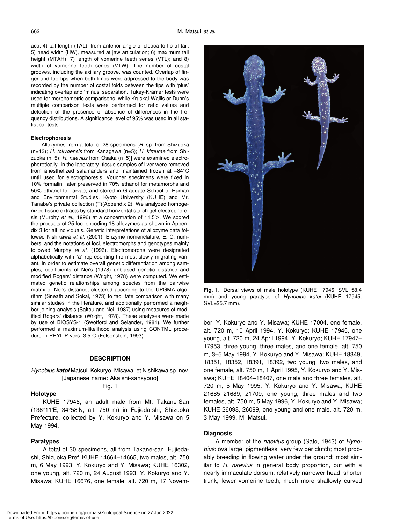aca; 4) tail length (TAL), from anterior angle of cloaca to tip of tail; 5) head width (HW), measured at jaw articulation; 6) maximum tail height (MTAH); 7) length of vomerine teeth series (VTL); and 8) width of vomerine teeth series (VTW). The number of costal grooves, including the axillary groove, was counted. Overlap of finger and toe tips when both limbs were adpressed to the body was recorded by the number of costal folds between the tips with 'plus' indicating overlap and 'minus' separation. Tukey-Kramer tests were used for morphometric comparisons, while Kruskal-Wallis or Dunn's multiple comparison tests were performed for ratio values and detection of the presence or absence of differences in the frequency distributions. A significance level of 95% was used in all statistical tests.

#### **Electrophoresis**

Allozymes from a total of 28 specimens [*H*. sp. from Shizuoka (n=13); *H. tokyoensis* from Kanagawa (n=5); *H. kimurae* from Shizuoka (n=5); *H. naevius* from Osaka (n=5)] were examined electrophoretically. In the laboratory, tissue samples of liver were removed from anesthetized salamanders and maintained frozen at –84°C until used for electrophoresis. Voucher specimens were fixed in 10% formalin, later preserved in 70% ethanol for metamorphs and 50% ethanol for larvae, and stored in Graduate School of Human and Environmental Studies, Kyoto University (KUHE) and Mr. Tanabe's private collection (T)(Appendix 2). We analyzed homogenized tissue extracts by standard horizontal starch gel electrophoresis (Murphy *et al*., 1996) at a concentration of 11.5%. We scored the products of 25 loci encoding 18 allozymes as shown in Appendix 3 for all individuals. Genetic interpretations of allozyme data followed Nishikawa *et al*. (2001). Enzyme nomenclature, E. C. numbers, and the notations of loci, electromorphs and genotypes mainly followed Murphy *et al*. (1996). Electromorphs were designated alphabetically with "a" representing the most slowly migrating variant. In order to estimate overall genetic differentiation among samples, coefficients of Nei's (1978) unbiased genetic distance and modified Rogers' distance (Wright, 1978) were computed. We estimated genetic relationships among species from the pairwise matrix of Nei's distance, clustered according to the UPGMA algorithm (Sneath and Sokal, 1973) to facilitate comparison with many similar studies in the literature, and additionally performed a neighbor-joining analysis (Saitou and Nei, 1987) using measures of modified Rogers' distance (Wright, 1978). These analyses were made by use of BIOSYS-1 (Swofford and Selander, 1981). We further performed a maximum-likelihood analysis using CONTML procedure in PHYLIP vers. 3.5 C (Felsenstein, 1993).

#### **DESCRIPTION**

### *Hynobius katoi* Matsui, Kokuryo, Misawa, et Nishikawa sp. nov. [Japanese name: Akaishi-sansyouo]

#### Fig. 1

#### **Holotype**

KUHE 17946, an adult male from Mt. Takane-San (138°11'E, 34°58'N, alt. 750 m) in Fujieda-shi, Shizuoka Prefecture, collected by Y. Kokuryo and Y. Misawa on 5 May 1994.

#### **Paratypes**

A total of 30 specimens, all from Takane-san, Fujiedashi, Shizuoka Pref. KUHE 14664–14665, two males, alt. 750 m, 6 May 1993, Y. Kokuryo and Y. Misawa; KUHE 16302, one young, alt. 720 m, 24 August 1993, Y. Kokuryo and Y. Misawa; KUHE 16676, one female, alt. 720 m, 17 Novem-



**Fig. 1.** Dorsal views of male holotype (KUHE 17946, SVL=58.4 mm) and young paratype of *Hynobius katoi* (KUHE 17945, SVL=25.7 mm).

ber, Y. Kokuryo and Y. Misawa; KUHE 17004, one female, alt. 720 m, 10 April 1994, Y. Kokuryo; KUHE 17945, one young, alt. 720 m, 24 April 1994, Y. Kokuryo; KUHE 17947– 17953, three young, three males, and one female, alt. 750 m, 3–5 May 1994, Y. Kokuryo and Y. Misawa; KUHE 18349, 18351, 18352, 18391, 18392, two young, two males, and one female, alt. 750 m, 1 April 1995, Y. Kokuryo and Y. Misawa; KUHE 18404–18407, one male and three females, alt. 720 m, 5 May 1995, Y. Kokuryo and Y. Misawa; KUHE 21685–21689, 21709, one young, three males and two females, alt. 750 m, 5 May 1996, Y. Kokuryo and Y. Misawa; KUHE 26098, 26099, one young and one male, alt. 720 m, 3 May 1999, M. Matsui.

#### **Diagnosis**

A member of the *naevius* group (Sato, 1943) of *Hynobius*: ova large, pigmentless, very few per clutch; most probably breeding in flowing water under the ground; most similar to *H. naevius* in general body proportion, but with a nearly immaculate dorsum, relatively narrower head, shorter trunk, fewer vomerine teeth, much more shallowly curved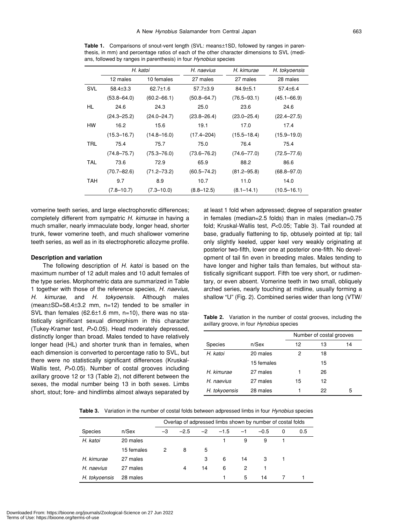**Table 1.** Comparisons of snout-vent length (SVL: means±1SD, followed by ranges in parenthesis, in mm) and percentage ratios of each of the other character dimensions to SVL (medians, followed by ranges in parenthesis) in four *Hynobius* species

|            | H. katoi        |                 | H. naevius      | H. kimurae      | H. tokyoensis   |
|------------|-----------------|-----------------|-----------------|-----------------|-----------------|
|            | 12 males        | 10 females      | 27 males        | 27 males        | 28 males        |
| <b>SVL</b> | $58.4 \pm 3.3$  | $62.7 \pm 1.6$  | $57.7 \pm 3.9$  | $84.9{\pm}5.1$  | $57.4 \pm 6.4$  |
|            | $(53.8 - 64.0)$ | $(60.2 - 66.1)$ | $(50.8 - 64.7)$ | $(76.5 - 93.1)$ | $(45.1 - 66.9)$ |
| HL         | 24.6            | 24.3            | 25.0            | 23.6            | 24.6            |
|            | $(24.3 - 25.2)$ | $(24.0 - 24.7)$ | $(23.8 - 26.4)$ | $(23.0 - 25.4)$ | $(22.4 - 27.5)$ |
| <b>HW</b>  | 16.2            | 15.6            | 19.1            | 17.0            | 17.4            |
|            | $(15.3 - 16.7)$ | $(14.8 - 16.0)$ | $(17.4 - 204)$  | $(15.5 - 18.4)$ | $(15.9 - 19.0)$ |
| <b>TRL</b> | 75.4            | 75.7            | 75.0            | 76.4            | 75.4            |
|            | $(74.8 - 75.7)$ | $(75.3 - 76.0)$ | $(73.6 - 76.2)$ | $(74.6 - 77.0)$ | $(72.5 - 77.6)$ |
| <b>TAL</b> | 73.6            | 72.9            | 65.9            | 88.2            | 86.6            |
|            | $(70.7 - 82.6)$ | $(71.2 - 73.2)$ | $(60.5 - 74.2)$ | $(81.2 - 95.8)$ | $(68.8 - 97.0)$ |
| <b>TAH</b> | 9.7             | 8.9             | 10.7            | 11.0            | 14.0            |
|            | $(7.8 - 10.7)$  | $(7.3 - 10.0)$  | $(8.8 - 12.5)$  | $(8.1 - 14.1)$  | $(10.5 - 16.1)$ |

vomerine teeth series, and large electrophoretic differences; completely different from sympatric *H. kimurae* in having a much smaller, nearly immaculate body, longer head, shorter trunk, fewer vomerine teeth, and much shallower vomerine teeth series, as well as in its electrophoretic allozyme profile.

#### **Description and variation**

The following description of *H. katoi* is based on the maximum number of 12 adult males and 10 adult females of the type series. Morphometric data are summarized in Table 1 together with those of the reference species, *H. naevius, H. kimurae*, and *H. tokyoensis*. Although males  $(mean \pm SD = 58.4 \pm 3.2$  mm,  $n=12$ ) tended to be smaller in SVL than females  $(62.6\pm1.6$  mm,  $n=10$ ), there was no statistically significant sexual dimorphism in this character (Tukey-Kramer test, *P*>0.05). Head moderately depressed, distinctly longer than broad. Males tended to have relatively longer head (HL) and shorter trunk than in females, when each dimension is converted to percentage ratio to SVL, but there were no statistically significant differences (Kruskal-Wallis test, *P*>0.05). Number of costal grooves including axillary groove 12 or 13 (Table 2), not different between the sexes, the modal number being 13 in both sexes. Limbs short, stout; fore- and hindlimbs almost always separated by at least 1 fold when adpressed; degree of separation greater in females (median=2.5 folds) than in males (median=0.75 fold; Kruskal-Wallis test, *P*<0.05; Table 3). Tail rounded at base, gradually flattening to tip, obtusely pointed at tip; tail only slightly keeled, upper keel very weakly originating at posterior two-fifth, lower one at posterior one-fifth. No development of tail fin even in breeding males. Males tending to have longer and higher tails than females, but without statistically significant support. Fifth toe very short, or rudimentary, or even absent. Vomerine teeth in two small, obliquely arched series, nearly touching at midline, usually forming a shallow "U" (Fig. 2). Combined series wider than long (VTW/

**Table 2.** Variation in the number of costal grooves, including the axillary groove, in four *Hynobius* species

|                |            |    | Number of costal grooves |    |  |
|----------------|------------|----|--------------------------|----|--|
| <b>Species</b> | n/Sex      | 12 | 13                       | 14 |  |
| H. katoi       | 20 males   | 2  | 18                       |    |  |
|                | 15 females |    | 15                       |    |  |
| H. kimurae     | 27 males   |    | 26                       |    |  |
| H. naevius     | 27 males   | 15 | 12                       |    |  |
| H. tokyoensis  | 28 males   |    | 22                       | 5  |  |

**Table 3.** Variation in the number of costal folds between adpressed limbs in four *Hynobius* species

|               |            |      | Overlap of adpressed limbs shown by number of costal folds |      |        |    |        |   |     |
|---------------|------------|------|------------------------------------------------------------|------|--------|----|--------|---|-----|
| Species       | n/Sex      | $-3$ | $-2.5$                                                     | $-2$ | $-1.5$ | -1 | $-0.5$ | 0 | 0.5 |
| H. katoi      | 20 males   |      |                                                            |      |        | 9  | 9      |   |     |
|               | 15 females | 2    | 8                                                          | 5    |        |    |        |   |     |
| H. kimurae    | 27 males   |      |                                                            | 3    | 6      | 14 | 3      |   |     |
| H. naevius    | 27 males   |      | 4                                                          | 14   | 6      | 2  |        |   |     |
| H. tokyoensis | 28 males   |      |                                                            |      |        | 5  | 14     |   |     |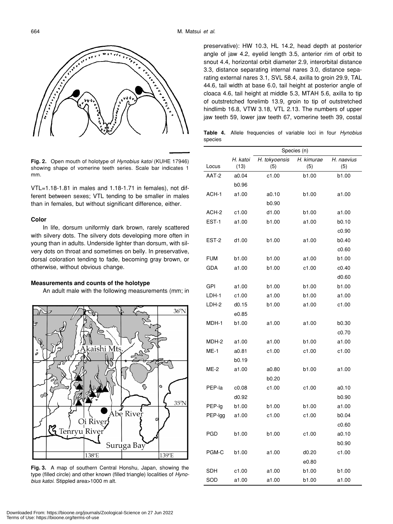

**Fig. 2.** Open mouth of holotype of *Hynobius katoi* (KUHE 17946) showing shape of vomerine teeth series. Scale bar indicates 1 mm.

VTL=1.18-1.81 in males and 1.18-1.71 in females), not different between sexes; VTL tending to be smaller in males than in females, but without significant difference, either.

#### **Color**

In life, dorsum uniformly dark brown, rarely scattered with silvery dots. The silvery dots developing more often in young than in adults. Underside lighter than dorsum, with silvery dots on throat and sometimes on belly. In preservative, dorsal coloration tending to fade, becoming gray brown, or otherwise, without obvious change.

#### **Measurements and counts of the holotype**

An adult male with the following measurements (mm; in



**Fig. 3.** A map of southern Central Honshu, Japan, showing the type (filled circle) and other known (filled triangle) localities of *Hynobius katoi*. Stippled area>1000 m alt.

preservative): HW 10.3, HL 14.2, head depth at posterior angle of jaw 4.2, eyelid length 3.5, anterior rim of orbit to snout 4.4, horizontal orbit diameter 2.9, interorbital distance 3.3, distance separating internal nares 3.0, distance separating external nares 3.1, SVL 58.4, axilla to groin 29.9, TAL 44.6, tail width at base 6.0, tail height at posterior angle of cloaca 4.6, tail height at middle 5.3, MTAH 5.6, axilla to tip of outstretched forelimb 13.9, groin to tip of outstretched hindlimb 16.8, VTW 3.18, VTL 2.13. The numbers of upper jaw teeth 59, lower jaw teeth 67, vomerine teeth 39, costal

**Table 4.** Allele frequencies of variable loci in four *Hynobius* species

|             |                  | Species (n)          |                   |                   |  |
|-------------|------------------|----------------------|-------------------|-------------------|--|
| Locus       | H. katoi<br>(13) | H. tokyoensis<br>(5) | H. kimurae<br>(5) | H. naevius<br>(5) |  |
| AAT-2       | a0.04            | c1.00                | b1.00             | b1.00             |  |
|             | b0.96            |                      |                   |                   |  |
| ACH-1       | a1.00            | a0.10                | b1.00             | a1.00             |  |
|             |                  | b0.90                |                   |                   |  |
| ACH-2       | c1.00            | d1.00                | b1.00             | a1.00             |  |
| EST-1       | a1.00            | b1.00                | a1.00             | b0.10             |  |
|             |                  |                      |                   | c0.90             |  |
| EST-2       | d1.00            | b1.00                | a1.00             | b0.40             |  |
|             |                  |                      |                   | c0.60             |  |
| <b>FUM</b>  | b1.00            | b1.00                | a1.00             | b1.00             |  |
| GDA         | a1.00            | b1.00                | c1.00             | c0.40             |  |
|             |                  |                      |                   | d0.60             |  |
| GPI         | a1.00            | b1.00                | b1.00             | b1.00             |  |
| LDH-1       | c1.00            | a1.00                | b1.00             | a1.00             |  |
| LDH-2       | d0.15            | b1.00                | a1.00             | c1.00             |  |
|             | e0.85            |                      |                   |                   |  |
| MDH-1       | b1.00            | a1.00                | a1.00             | b0.30             |  |
|             |                  |                      |                   | c0.70             |  |
| MDH-2       | a1.00            | a1.00                | b1.00             | a1.00             |  |
| $ME-1$      | a0.81            | c1.00                | c1.00             | c1.00             |  |
|             | b0.19            |                      |                   |                   |  |
| <b>ME-2</b> | a1.00            | a0.80                | b1.00             | a1.00             |  |
|             |                  | b0.20                |                   |                   |  |
| PEP-la      | c0.08            | c1.00                | c1.00             | a0.10             |  |
|             | d0.92            |                      |                   | b0.90             |  |
| PEP-Ig      | b1.00            | b1.00                | b1.00             | a1.00             |  |
| PEP-Igg     | a1.00            | c1.00                | c1.00             | b0.04             |  |
|             |                  |                      |                   | c0.60             |  |
| <b>PGD</b>  | b1.00            | b1.00                | c1.00             | a0.10             |  |
|             |                  |                      |                   | b0.90             |  |
| PGM-C       | b1.00            | a1.00                | d0.20             | c1.00             |  |
|             |                  |                      | e0.80             |                   |  |
| SDH         | c1.00            | a1.00                | b1.00             | b1.00             |  |
| SOD         | a1.00            | a1.00                | b1.00             | a1.00             |  |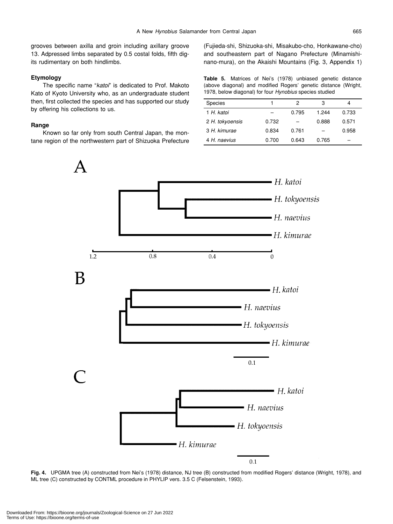grooves between axilla and groin including axillary groove 13. Adpressed limbs separated by 0.5 costal folds, fifth digits rudimentary on both hindlimbs.

#### **Etymology**

The specific name "*katoi*" is dedicated to Prof. Makoto Kato of Kyoto University who, as an undergraduate student then, first collected the species and has supported our study by offering his collections to us.

#### **Range**

Known so far only from south Central Japan, the montane region of the northwestern part of Shizuoka Prefecture (Fujieda-shi, Shizuoka-shi, Misakubo-cho, Honkawane-cho) and southeastern part of Nagano Prefecture (Minamishinano-mura), on the Akaishi Mountains (Fig. 3, Appendix 1)

**Table 5.** Matrices of Nei's (1978) unbiased genetic distance (above diagonal) and modified Rogers' genetic distance (Wright, 1978, below diagonal) for four *Hynobius* species studied

| Species         |       | 2     | 3     |       |
|-----------------|-------|-------|-------|-------|
| 1 H. katoi      |       | 0.795 | 1.244 | 0.733 |
| 2 H. tokyoensis | 0.732 |       | 0.888 | 0.571 |
| 3 H. kimurae    | 0.834 | 0.761 |       | 0.958 |
| 4 H. naevius    | 0.700 | 0.643 | 0.765 |       |



**Fig. 4.** UPGMA tree (A) constructed from Nei's (1978) distance, NJ tree (B) constructed from modified Rogers' distance (Wright, 1978), and ML tree (C) constructed by CONTML procedure in PHYLIP vers. 3.5 C (Felsenstein, 1993).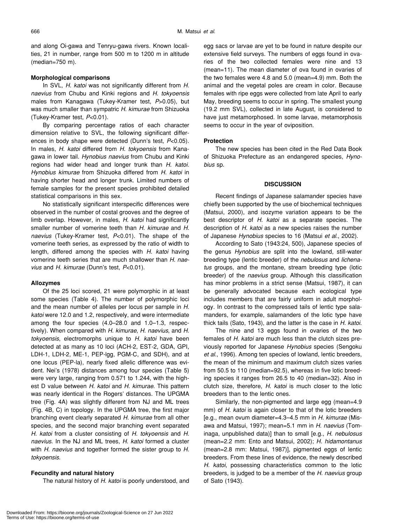and along Oi-gawa and Tenryu-gawa rivers. Known localities, 21 in number, range from 500 m to 1200 m in altitude (median=750 m).

#### **Morphological comparisons**

In SVL, *H. katoi* was not significantly different from *H. naevius* from Chubu and Kinki regions and *H. tokyoensis* males from Kanagawa (Tukey-Kramer test, *P*>0.05), but was much smaller than sympatric *H. kimurae* from Shizuoka (Tukey-Kramer test, *P*<0.01).

By comparing percentage ratios of each character dimension relative to SVL, the following significant differences in body shape were detected (Dunn's test, *P*<0.05). In males, *H. katoi* differed from *H. tokyoensis* from Kanagawa in lower tail. *Hynobius naevius* from Chubu and Kinki regions had wider head and longer trunk than *H. katoi. Hynobius kimurae* from Shizuoka differed from *H. katoi* in having shorter head and longer trunk. Limited numbers of female samples for the present species prohibited detailed statistical comparisons in this sex.

No statistically significant interspecific differences were observed in the number of costal grooves and the degree of limb overlap. However, in males, *H. katoi* had significantly smaller number of vomerine teeth than *H. kimurae* and *H. naevius* (Tukey-Kramer test, *P*<0.01). The shape of the vomerine teeth series, as expressed by the ratio of width to length, differed among the species with *H. katoi* having vomerine teeth series that are much shallower than *H. naevius* and *H. kimurae* (Dunn's test, *P*<0.01).

#### **Allozymes**

Of the 25 loci scored, 21 were polymorphic in at least some species (Table 4). The number of polymorphic loci and the mean number of alleles per locus per sample in *H. katoi* were 12.0 and 1.2, respectively, and were intermediate among the four species (4.0–28.0 and 1.0–1.3, respectively). When compared with *H. kimurae*, *H. naevius*, and *H. tokyoensis*, electromorphs unique to *H. katoi* have been detected at as many as 10 loci (ACH-2, EST-2, GDA, GPI, LDH-1, LDH-2, ME-1, PEP-lgg, PGM-C, and SDH), and at one locus (PEP-la), nearly fixed allelic difference was evident. Nei's (1978) distances among four species (Table 5) were very large, ranging from 0.571 to 1.244, with the highest D value between *H. katoi* and *H. kimurae*. This pattern was nearly identical in the Rogers' distances. The UPGMA tree (Fig. 4A) was slightly different from NJ and ML trees (Fig. 4B, C) in topology. In the UPGMA tree, the first major branching event clearly separated *H. kimurae* from all other species, and the second major branching event separated *H. katoi* from a cluster consisting of *H. tokyoensis* and *H. naevius*. In the NJ and ML trees, *H. katoi* formed a cluster with *H. naevius* and together formed the sister group to *H. tokyoensis*.

#### **Fecundity and natural history**

The natural history of *H. katoi* is poorly understood, and

egg sacs or larvae are yet to be found in nature despite our extensive field surveys. The numbers of eggs found in ovaries of the two collected females were nine and 13 (mean=11). The mean diameter of ova found in ovaries of the two females were 4.8 and 5.0 (mean=4.9) mm. Both the animal and the vegetal poles are cream in color. Because females with ripe eggs were collected from late April to early May, breeding seems to occur in spring. The smallest young (19.2 mm SVL), collected in late August, is considered to have just metamorphosed. In some larvae, metamorphosis seems to occur in the year of oviposition.

#### **Protection**

The new species has been cited in the Red Data Book of Shizuoka Prefecture as an endangered species, *Hynobius* sp.

#### **DISCUSSION**

Recent findings of Japanese salamander species have chiefly been supported by the use of biochemical techniques (Matsui, 2000), and isozyme variation appears to be the best descriptor of *H. katoi* as a separate species. The description of *H. katoi* as a new species raises the number of Japanese *Hynobius* species to 16 (Matsui *et al*., 2002).

According to Sato (1943:24, 500), Japanese species of the genus *Hynobius* are split into the lowland, still-water breeding type (lentic breeder) of the *nebulosus* and *lichenatus* groups, and the montane, stream breeding type (lotic breeder) of the *naevius* group. Although this classification has minor problems in a strict sense (Matsui, 1987), it can be generally advocated because each ecological type includes members that are fairly uniform in adult morphology. In contrast to the compressed tails of lentic type salamanders, for example, salamanders of the lotic type have thick tails (Sato, 1943), and the latter is the case in *H. katoi*.

The nine and 13 eggs found in ovaries of the two females of *H. katoi* are much less than the clutch sizes previously reported for Japanese *Hynobius* species (Sengoku *et al*., 1996). Among ten species of lowland, lentic breeders, the mean of the minimum and maximum clutch sizes varies from 50.5 to 110 (median=92.5), whereas in five lotic breeding species it ranges from 26.5 to 40 (median=32). Also in clutch size, therefore, *H. katoi* is much closer to the lotic breeders than to the lentic ones.

Similarly, the non-pigmented and large egg (mean=4.9 mm) of *H. katoi* is again closer to that of the lotic breeders [e.g., mean ovum diameter=4.3–4.5 mm in *H. kimurae* (Misawa and Matsui, 1997); mean=5.1 mm in *H. naevius* (Tominaga, unpublished data)] than to small [e.g., *H. nebulosus* (mean=2.2 mm: Ento and Matsui, 2002); *H. hidamontanus* (mean=2.8 mm: Matsui, 1987)], pigmented eggs of lentic breeders. From these lines of evidence, the newly described *H. katoi*, possessing characteristics common to the lotic breeders, is judged to be a member of the *H. naevius* group of Sato (1943).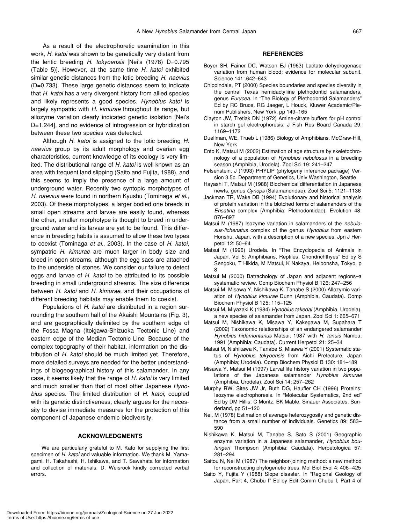As a result of the electrophoretic examination in this work, *H. katoi* was shown to be genetically very distant from the lentic breeding *H. tokyoensis* [Nei's (1978) D=0.795 (Table 5)]. However, at the same time *H. katoi* exhibited similar genetic distances from the lotic breeding *H. naevius* (D=0.733). These large genetic distances seem to indicate that *H. katoi* has a very divergent history from allied species and likely represents a good species. *Hynobius katoi* is largely sympatric with *H. kimurae* throughout its range, but allozyme variation clearly indicated genetic isolation [Nei's D=1.244], and no evidence of introgression or hybridization between these two species was detected.

Although *H. katoi* is assigned to the lotic breeding *H. naevius* group by its adult morphology and ovarian egg characteristics, current knowledge of its ecology is very limited. The distributional range of *H. katoi* is well known as an area with frequent land slipping (Saito and Fujita, 1988), and this seems to imply the presence of a large amount of underground water. Recently two syntopic morphotypes of *H. naevius* were found in northern Kyushu (Tominaga *et al*., 2003). Of these morphotypes, a larger bodied one breeds in small open streams and larvae are easily found, whereas the other, smaller morphotype is thought to breed in underground water and its larvae are yet to be found. This difference in breeding habits is assumed to allow these two types to coexist (Tominaga *et al*., 2003). In the case of *H. katoi*, sympatric *H. kimurae* are much larger in body size and breed in open streams, although the egg sacs are attached to the underside of stones. We consider our failure to detect eggs and larvae of *H. katoi* to be attributed to its possible breeding in small underground streams. The size difference between *H. katoi* and *H. kimurae*, and their occupations of different breeding habitats may enable them to coexist.

Populations of *H. katoi* are distributed in a region surrounding the southern half of the Akaishi Mountains (Fig. 3), and are geographically delimited by the southern edge of the Fossa Magna (Itoigawa-Shizuoka Tectonic Line) and eastern edge of the Median Tectonic Line. Because of the complex topography of their habitat, information on the distribution of *H. katoi* should be much limited yet. Therefore, more detailed surveys are needed for the better understandings of biogeographical history of this salamander. In any case, it seems likely that the range of *H. katoi* is very limited and much smaller than that of most other Japanese *Hynobius* species. The limited distribution of *H. katoi*, coupled with its genetic distinctiveness, clearly argues for the necessity to devise immediate measures for the protection of this component of Japanese endemic biodiversity.

#### **ACKNOWLEDGMENTS**

We are particularly grateful to M. Kato for supplying the first specimen of *H. katoi* and valuable information. We thank M. Yamagami, H. Takahashi, H. Ishikawa, and T. Sawahata for information and collection of materials. D. Weisrock kindly corrected verbal errors.

#### **REFERENCES**

- Boyer SH, Fainer DC, Watson EJ (1963) Lactate dehydrogenase variation from human blood: evidence for molecular subunit. Science 141: 642–643
- Chippindale, PT (2000) Species boundaries and species diversity in the central Texas hemidactyliine plethodontid salamanders, genus *Eurycea*. In "The Biology of Plethodontid Salamanders" Ed by RC Bruce, RG Jaeger, L Houck, Kluwer Academic/Plenum Publishers, New York, pp 149–165
- Clayton JW, Tretiak DN (1972) Amine-citrate buffers for pH control in starch gel electrophoresis. J Fish Res Board Canada 29: 1169–1172
- Duellman, WE, Trueb L (1986) Biology of Amphibians. McGraw-Hill, New York
- Ento K, Matsui M (2002) Estimation of age structure by skeletochronology of a population of *Hynobius nebulosus* in a breeding season (Amphibia, Urodela). Zool Sci 19: 241–247
- Felsenstein, J (1993) PHYLIP (phylogeny inference package) Version 3.5c. Department of Genetics, Univ Washington, Seattle
- Hayashi T, Matsui M (1988) Biochemical differentiation in Japanese newts, genus *Cynops* (Salamandridae). Zool Sci 5: 1121–1136
- Jackman TR, Wake DB (1994) Evolutionary and historical analysis of protein variation in the blotched forms of salamanders of the *Ensatina* complex (Amphibia: Plethodontidae). Evolution 48: 876–897
- Matsui M (1987) Isozyme variation in salamanders of the *nebulosus-lichenatus* complex of the genus *Hynobius* from eastern Honshu, Japan, with a description of a new species. Jpn J Herpetol 12: 50–64
- Matsui M (1996) Urodela. In "The Encyclopedia of Animals in Japan. Vol 5: Amphibians, Reptiles, Chondrichthyes" Ed by S Sengoku, T Hikida, M Matsui, K Nakaya, Heibonsha, Tokyo, p 8
- Matsui M (2000) Batrachology of Japan and adjacent regions–a systematic review. Comp Biochem Physiol B 126: 247–256
- Matsui M, Misawa Y, Nishikawa K, Tanabe S (2000) Allozymic variation of *Hynobius kimurae* Dunn (Amphibia, Caudata). Comp Biochem Physiol B 125: 115–125
- Matsui M, Miyazaki K (1984) *Hynobius takedai* (Amphibia, Urodela), a new species of salamander from Japan. Zool Sci 1: 665–671
- Matsui M, Nishikawa K, Misawa Y, Kakegawa M, Sugahara T (2002) Taxonomic relationships of an endangered salamander *Hynobius hidamontanus* Matsui, 1987 with *H. tenuis* Nambu, 1991 (Amphibia: Caudata). Current Herpetol 21: 25–34
- Matsui M, Nishikawa K, Tanabe S, Misawa Y (2001) Systematic status of *Hynobius tokyoensis* from Aichi Prefecture, Japan (Amphibia; Urodela). Comp Biochem Physiol B 130: 181–189
- Misawa Y, Matsui M (1997) Larval life history variation in two populations of the Japanese salamander *Hynobius kimurae* (Amphibia, Urodela). Zool Sci 14: 257–262
- Murphy RW, Sites JW Jr, Buth DG, Haufler CH (1996) Proteins: Isozyme electrophoresis. In "Molecular Systematics, 2nd ed" Ed by DM Hillis, C Moritz, BK Mable, Sinauer Associates, Sunderland, pp 51–120
- Nei, M (1978) Estimation of average heterozygosity and genetic distance from a small number of individuals. Genetics 89: 583– 590
- Nishikawa K, Matsui M, Tanabe S, Sato S (2001) Geographic enzyme variation in a Japanese salamander, *Hynobius boulengeri* Thompson (Amphibia: Caudata). Herpetologica 57: 281–294
- Saitou N, Nei M (1987) The neighbor-joining method: a new method for reconstructing phylogenetic trees. Mol Biol Evol 4: 406–425
- Saito Y, Fujita Y (1988) Slope disaster. In "Regional Geology of Japan, Part 4, Chubu I" Ed by Edit Comm Chubu I, Part 4 of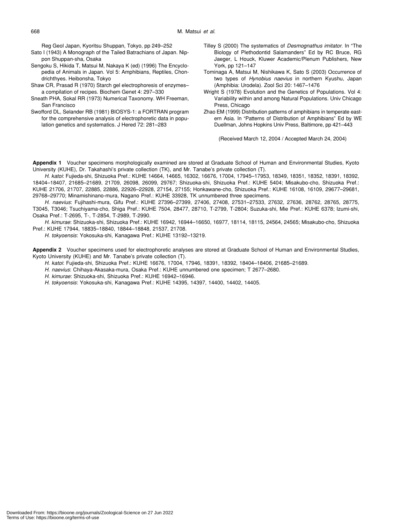Reg Geol Japan, Kyoritsu Shuppan, Tokyo, pp 249–252

- Sato I (1943) A Monograph of the Tailed Batrachians of Japan. Nippon Shuppan-sha, Osaka
- Sengoku S, Hikida T, Matsui M, Nakaya K (ed) (1996) The Encyclopedia of Animals in Japan. Vol 5: Amphibians, Reptiles, Chondrichthyes. Heibonsha, Tokyo
- Shaw CR, Prasad R (1970) Starch gel electrophoresis of enzymes– a compilation of recipes. Biochem Genet 4: 297–330
- Sneath PHA, Sokal RR (1973) Numerical Taxonomy. WH Freeman, San Francisco
- Swofford DL, Selander RB (1981) BIOSYS-1: a FORTRAN program for the comprehensive analysis of electrophoretic data in population genetics and systematics. J Hered 72: 281–283
- Tilley S (2000) The systematics of *Desmognathus imitator*. In "The Biology of Plethodontid Salamanders" Ed by RC Bruce, RG Jaeger, L Houck, Kluwer Academic/Plenum Publishers, New York, pp 121–147
- Tominaga A, Matsui M, Nishikawa K, Sato S (2003) Occurrence of two types of *Hynobius naevius* in northern Kyushu, Japan (Amphibia: Urodela). Zool Sci 20: 1467–1476
- Wright S (1978) Evolution and the Genetics of Populations. Vol 4: Variability within and among Natural Populations. Univ Chicago Press, Chicago
- Zhao EM (1999) Distribution patterns of amphibians in temperate eastern Asia. In "Patterns of Distribution of Amphibians" Ed by WE Duellman, Johns Hopkins Univ Press, Baltimore, pp 421–443

(Received March 12, 2004 / Accepted March 24, 2004)

**Appendix 1** Voucher specimens morphologically examined are stored at Graduate School of Human and Environmental Studies, Kyoto University (KUHE), Dr. Takahashi's private collection (TK), and Mr. Tanabe's private collection (T).

*H. katoi*: Fujieda-shi, Shizuoka Pref.: KUHE 14664, 14665, 16302, 16676, 17004, 17945–17953, 18349, 18351, 18352, 18391, 18392, 18404–18407, 21685–21689, 21709, 26098, 26099, 29767; Shizuoka-shi, Shizuoka Pref.: KUHE 5404; Misakubo-cho, Shizuoka Pref.: KUHE 21706, 21707, 22885, 22886, 22926–22928, 27154, 27155; Honkawane-cho, Shizuoka Pref.: KUHE 16108, 16109, 29677–29681, 29768–29770; Minamishinano-mura, Nagano Pref.: KUHE 33928, TK unnumbered three specimens.

*H. naevius*: Fujihashi-mura, Gifu Pref.: KUHE 27396–27399, 27406, 27408, 27531–27533, 27632, 27636, 28762, 28765, 28775, T3045, T3046; Tsuchiyama-cho, Shiga Pref.: KUHE 7504, 28477, 28710, T-2799, T-2804; Suzuka-shi, Mie Pref.: KUHE 6378; Izumi-shi, Osaka Pref.: T-2695, T-, T-2854, T-2989, T-2990.

*H. kimurae*: Shizuoka-shi, Shizuoka Pref.: KUHE 16942, 16944–16650, 16977, 18114, 18115, 24564, 24565; Misakubo-cho, Shizuoka Pref.: KUHE 17944, 18835–18840, 18844–18848, 21537, 21708.

*H. tokyoensis*: Yokosuka-shi, Kanagawa Pref.: KUHE 13192–13219.

**Appendix 2** Voucher specimens used for electrophoretic analyses are stored at Graduate School of Human and Environmental Studies, Kyoto University (KUHE) and Mr. Tanabe's private collection (T).

*H. katoi*: Fujieda-shi, Shizuoka Pref.: KUHE 16676, 17004, 17946, 18391, 18392, 18404–18406, 21685–21689.

*H. naevius*: Chihaya-Akasaka-mura, Osaka Pref.: KUHE unnumbered one specimen; T 2677–2680.

*H. kimurae*: Shizuoka-shi, Shizuoka Pref.: KUHE 16942–16946.

*H. tokyoensis*: Yokosuka-shi, Kanagawa Pref.: KUHE 14395, 14397, 14400, 14402, 14405.